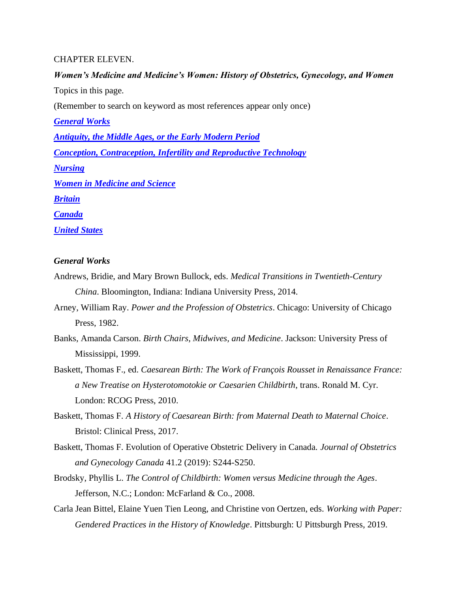#### CHAPTER ELEVEN.

# *Women's Medicine and Medicine's Women: History of Obstetrics, Gynecology, and Women* Topics in this page. (Remember to search on keyword as most references appear only once) *[General Works](#page-0-0) [Antiquity, the Middle Ages, or the Early Modern Period](#page-4-0) [Conception, Contraception, Infertility and Reproductive Technology](#page-6-0) [Nursing](#page-7-0) [Women in Medicine](#page-8-0) and Science [Britain](#page-9-0) [Canada](#page-11-0) [United States](#page-13-0)*

# <span id="page-0-0"></span>*General Works*

- Andrews, Bridie, and Mary Brown Bullock, eds. *Medical Transitions in Twentieth-Century China*. Bloomington, Indiana: Indiana University Press, 2014.
- Arney, William Ray. *Power and the Profession of Obstetrics*. Chicago: University of Chicago Press, 1982.
- Banks, Amanda Carson. *Birth Chairs, Midwives, and Medicine*. Jackson: University Press of Mississippi, 1999.
- Baskett, Thomas F., ed. *Caesarean Birth: The Work of François Rousset in Renaissance France: a New Treatise on Hysterotomotokie or Caesarien Childbirth*, trans. Ronald M. Cyr. London: RCOG Press, 2010.
- Baskett, Thomas F. *A History of Caesarean Birth: from Maternal Death to Maternal Choice*. Bristol: Clinical Press, 2017.
- Baskett, Thomas F. Evolution of Operative Obstetric Delivery in Canada. *Journal of Obstetrics and Gynecology Canada* 41.2 (2019): S244-S250.
- Brodsky, Phyllis L. *The Control of Childbirth: Women versus Medicine through the Ages*. Jefferson, N.C.; London: McFarland & Co., 2008.
- Carla Jean Bittel, Elaine Yuen Tien Leong, and Christine von Oertzen, eds. *Working with Paper: Gendered Practices in the History of Knowledge*. Pittsburgh: U Pittsburgh Press, 2019.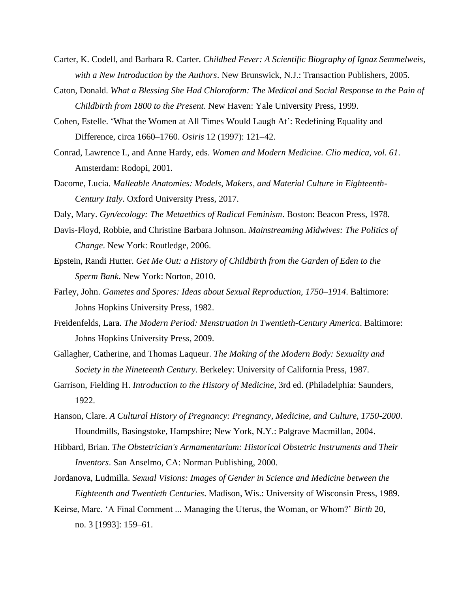- Carter, K. Codell, and Barbara R. Carter. *Childbed Fever: A Scientific Biography of Ignaz Semmelweis, with a New Introduction by the Authors*. New Brunswick, N.J.: Transaction Publishers, 2005.
- Caton, Donald. *What a Blessing She Had Chloroform: The Medical and Social Response to the Pain of Childbirth from 1800 to the Present*. New Haven: Yale University Press, 1999.
- Cohen, Estelle. 'What the Women at All Times Would Laugh At': Redefining Equality and Difference, circa 1660–1760. *Osiris* 12 (1997): 121–42.
- Conrad, Lawrence I., and Anne Hardy, eds. *Women and Modern Medicine. Clio medica, vol. 61*. Amsterdam: Rodopi, 2001.
- Dacome, Lucia. *Malleable Anatomies: Models, Makers, and Material Culture in Eighteenth-Century Italy*. Oxford University Press, 2017.
- Daly, Mary. *Gyn/ecology: The Metaethics of Radical Feminism*. Boston: Beacon Press, 1978.
- Davis-Floyd, Robbie, and Christine Barbara Johnson. *Mainstreaming Midwives: The Politics of Change*. New York: Routledge, 2006.
- Epstein, Randi Hutter. *Get Me Out: a History of Childbirth from the Garden of Eden to the Sperm Bank*. New York: Norton, 2010.
- Farley, John. *Gametes and Spores: Ideas about Sexual Reproduction, 1750–1914*. Baltimore: Johns Hopkins University Press, 1982.
- Freidenfelds, Lara. *The Modern Period: Menstruation in Twentieth-Century America*. Baltimore: Johns Hopkins University Press, 2009.
- Gallagher, Catherine, and Thomas Laqueur. *The Making of the Modern Body: Sexuality and Society in the Nineteenth Century*. Berkeley: University of California Press, 1987.
- Garrison, Fielding H. *Introduction to the History of Medicine*, 3rd ed. (Philadelphia: Saunders, 1922.
- Hanson, Clare. *A Cultural History of Pregnancy: Pregnancy, Medicine, and Culture, 1750-2000*. Houndmills, Basingstoke, Hampshire; New York, N.Y.: Palgrave Macmillan, 2004.
- Hibbard, Brian. *The Obstetrician's Armamentarium: Historical Obstetric Instruments and Their Inventors*. San Anselmo, CA: Norman Publishing, 2000.
- Jordanova, Ludmilla. *Sexual Visions: Images of Gender in Science and Medicine between the Eighteenth and Twentieth Centuries*. Madison, Wis.: University of Wisconsin Press, 1989.
- Keirse, Marc. 'A Final Comment ... Managing the Uterus, the Woman, or Whom?' *Birth* 20, no. 3 [1993]: 159–61.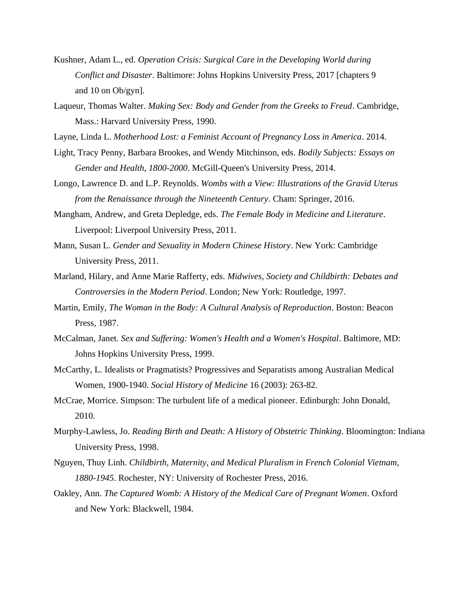- Kushner, Adam L., ed. *Operation Crisis: Surgical Care in the Developing World during Conflict and Disaster*. Baltimore: Johns Hopkins University Press, 2017 [chapters 9 and 10 on Ob/gyn].
- Laqueur, Thomas Walter. *Making Sex: Body and Gender from the Greeks to Freud*. Cambridge, Mass.: Harvard University Press, 1990.
- Layne, Linda L. *Motherhood Lost: a Feminist Account of Pregnancy Loss in America*. 2014.
- Light, Tracy Penny, Barbara Brookes, and Wendy Mitchinson, eds. *Bodily Subjects: Essays on Gender and Health, 1800-2000*. McGill-Queen's University Press, 2014.
- Longo, Lawrence D. and L.P. Reynolds. *Wombs with a View: Illustrations of the Gravid Uterus from the Renaissance through the Nineteenth Century*. Cham: Springer, 2016.
- Mangham, Andrew, and Greta Depledge, eds. *The Female Body in Medicine and Literature*. Liverpool: Liverpool University Press, 2011.
- Mann, Susan L. *Gender and Sexuality in Modern Chinese History*. New York: Cambridge University Press, 2011.
- Marland, Hilary, and Anne Marie Rafferty, eds. *Midwives, Society and Childbirth: Debates and Controversies in the Modern Period*. London; New York: Routledge, 1997.
- Martin, Emily, *The Woman in the Body: A Cultural Analysis of Reproduction*. Boston: Beacon Press, 1987.
- McCalman, Janet. *Sex and Suffering: Women's Health and a Women's Hospital*. Baltimore, MD: Johns Hopkins University Press, 1999.
- McCarthy, L. Idealists or Pragmatists? Progressives and Separatists among Australian Medical Women, 1900-1940. *Social History of Medicine* 16 (2003): 263-82.
- McCrae, Morrice. Simpson: The turbulent life of a medical pioneer. Edinburgh: John Donald, 2010.
- Murphy-Lawless, Jo. *Reading Birth and Death: A History of Obstetric Thinking*. Bloomington: Indiana University Press, 1998.
- Nguyen, Thuy Linh. *Childbirth, Maternity, and Medical Pluralism in French Colonial Vietnam, 1880-1945*. Rochester, NY: University of Rochester Press, 2016.
- Oakley, Ann. *The Captured Womb: A History of the Medical Care of Pregnant Women*. Oxford and New York: Blackwell, 1984.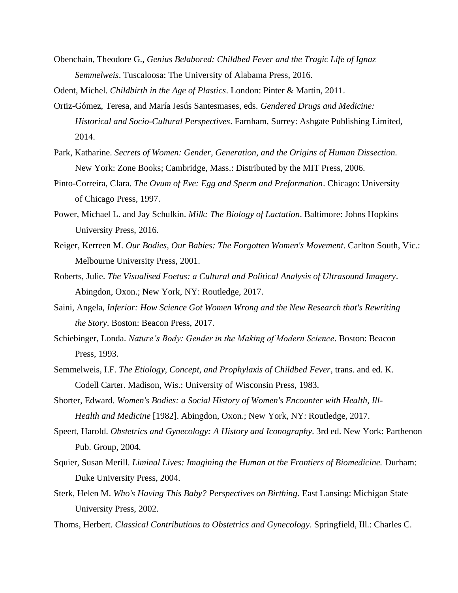- Obenchain, Theodore G., *Genius Belabored: Childbed Fever and the Tragic Life of Ignaz Semmelweis*. Tuscaloosa: The University of Alabama Press, 2016.
- Odent, Michel. *Childbirth in the Age of Plastics*. London: Pinter & Martin, 2011.
- Ortiz-Gómez, Teresa, and María Jesús Santesmases, eds. *Gendered Drugs and Medicine: Historical and Socio-Cultural Perspectives*. Farnham, Surrey: Ashgate Publishing Limited, 2014.
- Park, Katharine. *Secrets of Women: Gender, Generation, and the Origins of Human Dissection.* New York: Zone Books; Cambridge, Mass.: Distributed by the MIT Press, 2006.
- Pinto-Correira, Clara. *The Ovum of Eve: Egg and Sperm and Preformation*. Chicago: University of Chicago Press, 1997.
- Power, Michael L. and Jay Schulkin. *Milk: The Biology of Lactation*. Baltimore: Johns Hopkins University Press, 2016.
- Reiger, Kerreen M. *Our Bodies, Our Babies: The Forgotten Women's Movement*. Carlton South, Vic.: Melbourne University Press, 2001.
- Roberts, Julie. *The Visualised Foetus: a Cultural and Political Analysis of Ultrasound Imagery*. Abingdon, Oxon.; New York, NY: Routledge, 2017.
- Saini, Angela, *Inferior: How Science Got Women Wrong and the New Research that's Rewriting the Story*. Boston: Beacon Press, 2017.
- Schiebinger, Londa. *Nature's Body: Gender in the Making of Modern Science*. Boston: Beacon Press, 1993.
- Semmelweis, I.F. *The Etiology, Concept, and Prophylaxis of Childbed Fever*, trans. and ed. K. Codell Carter. Madison, Wis.: University of Wisconsin Press, 1983.
- Shorter, Edward. *Women's Bodies: a Social History of Women's Encounter with Health, Ill-Health and Medicine* [1982]. Abingdon, Oxon.; New York, NY: Routledge, 2017.
- Speert, Harold. *Obstetrics and Gynecology: A History and Iconography*. 3rd ed. New York: Parthenon Pub. Group, 2004.
- Squier, Susan Merill. *Liminal Lives: Imagining the Human at the Frontiers of Biomedicine.* Durham: Duke University Press, 2004.
- Sterk, Helen M. *Who's Having This Baby? Perspectives on Birthing*. East Lansing: Michigan State University Press, 2002.
- Thoms, Herbert. *Classical Contributions to Obstetrics and Gynecology*. Springfield, Ill.: Charles C.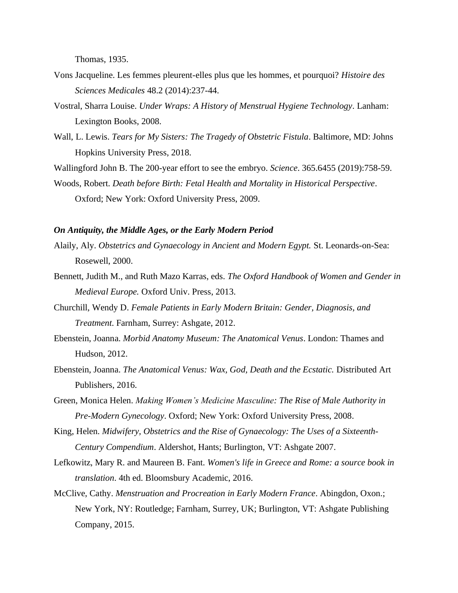Thomas, 1935.

- Vons Jacqueline. Les femmes pleurent-elles plus que les hommes, et pourquoi? *Histoire des Sciences Medicales* 48.2 (2014):237-44.
- Vostral, Sharra Louise. *Under Wraps: A History of Menstrual Hygiene Technology*. Lanham: Lexington Books, 2008.
- Wall, L. Lewis. *Tears for My Sisters: The Tragedy of Obstetric Fistula*. Baltimore, MD: Johns Hopkins University Press, 2018.

Wallingford John B. The 200-year effort to see the embryo. *Science*. 365.6455 (2019):758-59.

Woods, Robert. *Death before Birth: Fetal Health and Mortality in Historical Perspective*. Oxford; New York: Oxford University Press, 2009.

#### <span id="page-4-0"></span>*On Antiquity, the Middle Ages, or the Early Modern Period*

- Alaily, Aly. *Obstetrics and Gynaecology in Ancient and Modern Egypt.* St. Leonards-on-Sea: Rosewell, 2000.
- Bennett, Judith M., and Ruth Mazo Karras, eds. *The Oxford Handbook of Women and Gender in Medieval Europe.* Oxford Univ. Press, 2013.
- Churchill, Wendy D. *Female Patients in Early Modern Britain: Gender, Diagnosis, and Treatment*. Farnham, Surrey: Ashgate, 2012.
- Ebenstein, Joanna. *Morbid Anatomy Museum: The Anatomical Venus*. London: Thames and Hudson, 2012.
- Ebenstein, Joanna. *The Anatomical Venus: Wax, God, Death and the Ecstatic.* Distributed Art Publishers, 2016.
- Green, Monica Helen. *Making Women's Medicine Masculine: The Rise of Male Authority in Pre-Modern Gynecology*. Oxford; New York: Oxford University Press, 2008.
- King, Helen. *Midwifery, Obstetrics and the Rise of Gynaecology: The Uses of a Sixteenth-Century Compendium*. Aldershot, Hants; Burlington, VT: Ashgate 2007.
- Lefkowitz, Mary R. and Maureen B. Fant. *Women's life in Greece and Rome: a source book in translation*. 4th ed. Bloomsbury Academic, 2016.
- McClive, Cathy. *Menstruation and Procreation in Early Modern France*. Abingdon, Oxon.; New York, NY: Routledge; Farnham, Surrey, UK; Burlington, VT: Ashgate Publishing Company, 2015.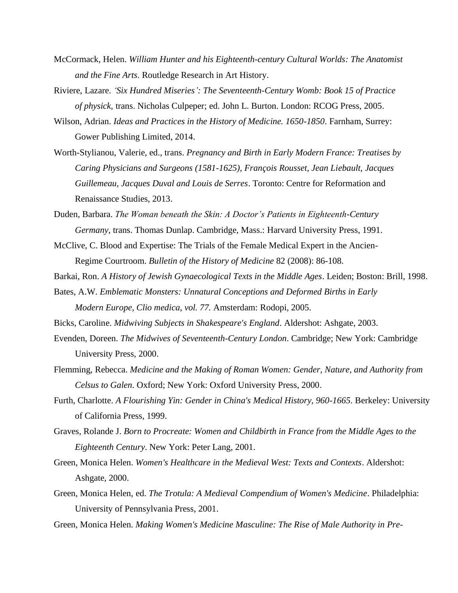- McCormack, Helen. *William Hunter and his Eighteenth-century Cultural Worlds: The Anatomist and the Fine Arts*. Routledge Research in Art History.
- Riviere, Lazare. *'Six Hundred Miseries': The Seventeenth-Century Womb: Book 15 of Practice of physick,* trans. Nicholas Culpeper; ed. John L. Burton. London: RCOG Press, 2005.
- Wilson, Adrian. *Ideas and Practices in the History of Medicine. 1650-1850*. Farnham, Surrey: Gower Publishing Limited, 2014.
- Worth-Stylianou, Valerie, ed., trans. *Pregnancy and Birth in Early Modern France: Treatises by Caring Physicians and Surgeons (1581-1625), François Rousset, Jean Liebault, Jacques Guillemeau, Jacques Duval and Louis de Serres*. Toronto: Centre for Reformation and Renaissance Studies, 2013.
- Duden, Barbara. *The Woman beneath the Skin: A Doctor's Patients in Eighteenth*-*Century Germany*, trans. Thomas Dunlap. Cambridge, Mass.: Harvard University Press, 1991.
- McClive, C. Blood and Expertise: The Trials of the Female Medical Expert in the Ancien-Regime Courtroom. *Bulletin of the History of Medicine* 82 (2008): 86-108.
- Barkai, Ron. *A History of Jewish Gynaecological Texts in the Middle Ages*. Leiden; Boston: Brill, 1998.
- Bates, A.W. *Emblematic Monsters: Unnatural Conceptions and Deformed Births in Early Modern Europe, Clio medica, vol. 77.* Amsterdam: Rodopi, 2005.
- Bicks, Caroline. *Midwiving Subjects in Shakespeare's England*. Aldershot: Ashgate, 2003.
- Evenden, Doreen. *The Midwives of Seventeenth-Century London*. Cambridge; New York: Cambridge University Press, 2000.
- Flemming, Rebecca. *Medicine and the Making of Roman Women: Gender, Nature, and Authority from Celsus to Galen*. Oxford; New York: Oxford University Press, 2000.
- Furth, Charlotte. *A Flourishing Yin: Gender in China's Medical History, 960-1665*. Berkeley: University of California Press, 1999.
- Graves, Rolande J. *Born to Procreate: Women and Childbirth in France from the Middle Ages to the Eighteenth Century*. New York: Peter Lang, 2001.
- Green, Monica Helen. *Women's Healthcare in the Medieval West: Texts and Contexts*. Aldershot: Ashgate, 2000.
- Green, Monica Helen, ed. *The Trotula: A Medieval Compendium of Women's Medicine*. Philadelphia: University of Pennsylvania Press, 2001.
- Green, Monica Helen. *Making Women's Medicine Masculine: The Rise of Male Authority in Pre-*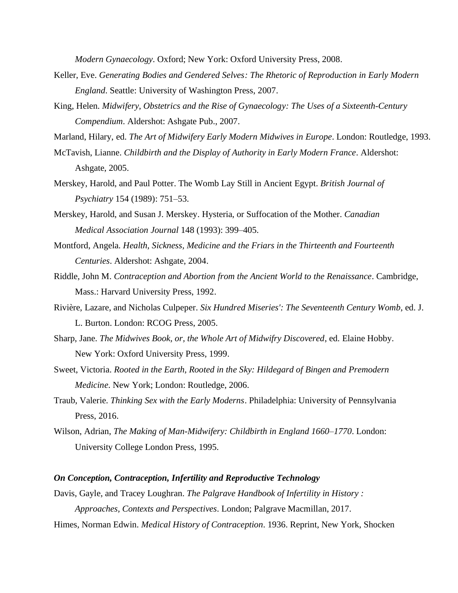*Modern Gynaecology*. Oxford; New York: Oxford University Press, 2008.

- Keller, Eve. *Generating Bodies and Gendered Selves: The Rhetoric of Reproduction in Early Modern England*. Seattle: University of Washington Press, 2007.
- King, Helen. *Midwifery, Obstetrics and the Rise of Gynaecology: The Uses of a Sixteenth-Century Compendium*. Aldershot: Ashgate Pub., 2007.

Marland, Hilary, ed. *The Art of Midwifery Early Modern Midwives in Europe*. London: Routledge, 1993.

- McTavish, Lianne. *Childbirth and the Display of Authority in Early Modern France*. Aldershot: Ashgate, 2005.
- Merskey, Harold, and Paul Potter. The Womb Lay Still in Ancient Egypt. *British Journal of Psychiatry* 154 (1989): 751–53.
- Merskey, Harold, and Susan J. Merskey. Hysteria, or Suffocation of the Mother. *Canadian Medical Association Journal* 148 (1993): 399–405.
- Montford, Angela. *Health, Sickness, Medicine and the Friars in the Thirteenth and Fourteenth Centuries*. Aldershot: Ashgate, 2004.
- Riddle, John M. *Contraception and Abortion from the Ancient World to the Renaissance*. Cambridge, Mass.: Harvard University Press, 1992.
- Rivière, Lazare, and Nicholas Culpeper. *Six Hundred Miseries': The Seventeenth Century Womb*, ed. J. L. Burton. London: RCOG Press, 2005.
- Sharp, Jane. *The Midwives Book, or, the Whole Art of Midwifry Discovered*, ed. Elaine Hobby. New York: Oxford University Press, 1999.
- Sweet, Victoria. *Rooted in the Earth, Rooted in the Sky: Hildegard of Bingen and Premodern Medicine*. New York; London: Routledge, 2006.
- Traub, Valerie. *Thinking Sex with the Early Moderns*. Philadelphia: University of Pennsylvania Press, 2016.
- Wilson, Adrian, *The Making of Man-Midwifery: Childbirth in England 1660–1770*. London: University College London Press, 1995.

## <span id="page-6-0"></span>*On Conception, Contraception, Infertility and Reproductive Technology*

Davis, Gayle, and Tracey Loughran. *The Palgrave Handbook of Infertility in History : Approaches, Contexts and Perspectives*. London; Palgrave Macmillan, 2017.

Himes, Norman Edwin. *Medical History of Contraception*. 1936. Reprint, New York, Shocken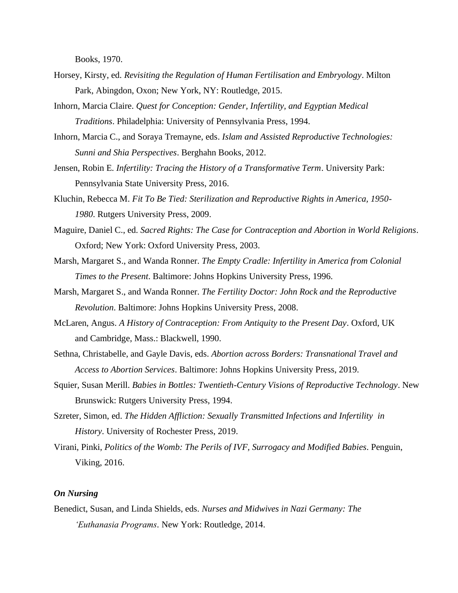Books, 1970.

- Horsey, Kirsty, ed. *Revisiting the Regulation of Human Fertilisation and Embryology*. Milton Park, Abingdon, Oxon; New York, NY: Routledge, 2015.
- Inhorn, Marcia Claire. *Quest for Conception: Gender, Infertility, and Egyptian Medical Traditions*. Philadelphia: University of Pennsylvania Press, 1994.
- Inhorn, Marcia C., and Soraya Tremayne, eds. *Islam and Assisted Reproductive Technologies: Sunni and Shia Perspectives*. Berghahn Books, 2012.
- Jensen, Robin E. *Infertility: Tracing the History of a Transformative Term*. University Park: Pennsylvania State University Press, 2016.
- Kluchin, Rebecca M. *Fit To Be Tied: Sterilization and Reproductive Rights in America, 1950- 1980*. Rutgers University Press, 2009.
- Maguire, Daniel C., ed. *Sacred Rights: The Case for Contraception and Abortion in World Religions*. Oxford; New York: Oxford University Press, 2003.
- Marsh, Margaret S., and Wanda Ronner. *The Empty Cradle: Infertility in America from Colonial Times to the Present*. Baltimore: Johns Hopkins University Press, 1996.
- Marsh, Margaret S., and Wanda Ronner. *The Fertility Doctor: John Rock and the Reproductive Revolution*. Baltimore: Johns Hopkins University Press, 2008.
- McLaren, Angus. *A History of Contraception: From Antiquity to the Present Day*. Oxford, UK and Cambridge, Mass.: Blackwell, 1990.
- Sethna, Christabelle, and Gayle Davis, eds. *Abortion across Borders: Transnational Travel and Access to Abortion Services*. Baltimore: Johns Hopkins University Press, 2019.
- Squier, Susan Merill. *Babies in Bottles: Twentieth-Century Visions of Reproductive Technology*. New Brunswick: Rutgers University Press, 1994.
- Szreter, Simon, ed. *The Hidden Affliction: Sexually Transmitted Infections and Infertility in History*. University of Rochester Press, 2019.
- Virani, Pinki, *Politics of the Womb: The Perils of IVF, Surrogacy and Modified Babies*. Penguin, Viking, 2016.

#### <span id="page-7-0"></span>*On Nursing*

Benedict, Susan, and Linda Shields, eds. *Nurses and Midwives in Nazi Germany: The 'Euthanasia Programs.* New York: Routledge, 2014.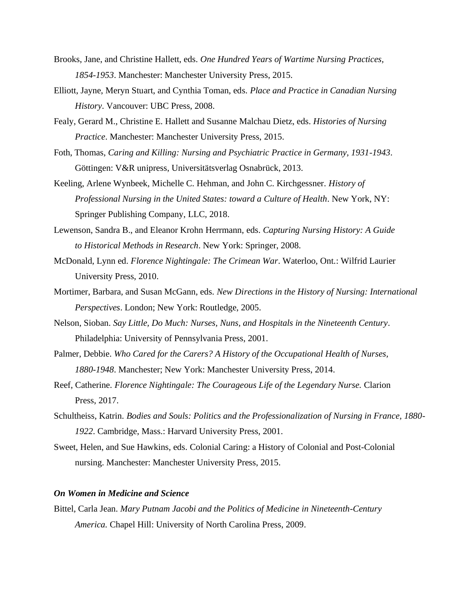- Brooks, Jane, and Christine Hallett, eds. *One Hundred Years of Wartime Nursing Practices, 1854-1953*. Manchester: Manchester University Press, 2015.
- Elliott, Jayne, Meryn Stuart, and Cynthia Toman, eds. *Place and Practice in Canadian Nursing History*. Vancouver: UBC Press, 2008.
- Fealy, Gerard M., Christine E. Hallett and Susanne Malchau Dietz, eds. *Histories of Nursing Practice*. Manchester: Manchester University Press, 2015.
- Foth, Thomas, *Caring and Killing: Nursing and Psychiatric Practice in Germany, 1931-1943*. Göttingen: V&R unipress, Universitätsverlag Osnabrück, 2013.
- Keeling, Arlene Wynbeek, Michelle C. Hehman, and John C. Kirchgessner. *History of Professional Nursing in the United States: toward a Culture of Health*. New York, NY: Springer Publishing Company, LLC, 2018.
- Lewenson, Sandra B., and Eleanor Krohn Herrmann, eds. *Capturing Nursing History: A Guide to Historical Methods in Research*. New York: Springer, 2008.
- McDonald, Lynn ed. *Florence Nightingale: The Crimean War*. Waterloo, Ont.: Wilfrid Laurier University Press, 2010.
- Mortimer, Barbara, and Susan McGann, eds. *New Directions in the History of Nursing: International Perspectives*. London; New York: Routledge, 2005.
- Nelson, Sioban. *Say Little, Do Much: Nurses, Nuns, and Hospitals in the Nineteenth Century*. Philadelphia: University of Pennsylvania Press, 2001.
- Palmer, Debbie. *Who Cared for the Carers? A History of the Occupational Health of Nurses, 1880-1948*. Manchester; New York: Manchester University Press, 2014.
- Reef, Catherine. *Florence Nightingale: The Courageous Life of the Legendary Nurse.* Clarion Press, 2017.
- Schultheiss, Katrin. *Bodies and Souls: Politics and the Professionalization of Nursing in France, 1880- 1922*. Cambridge, Mass.: Harvard University Press, 2001.
- Sweet, Helen, and Sue Hawkins, eds. Colonial Caring: a History of Colonial and Post-Colonial nursing. Manchester: Manchester University Press, 2015.

## <span id="page-8-0"></span>*On Women in Medicine and Science*

Bittel, Carla Jean. *Mary Putnam Jacobi and the Politics of Medicine in Nineteenth-Century America.* Chapel Hill: University of North Carolina Press, 2009.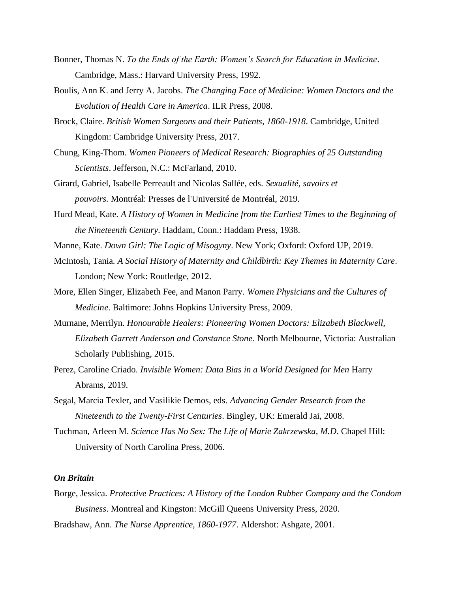- Bonner, Thomas N. *To the Ends of the Earth: Women's Search for Education in Medicine*. Cambridge, Mass.: Harvard University Press, 1992.
- Boulis, Ann K. and Jerry A. Jacobs. *The Changing Face of Medicine: Women Doctors and the Evolution of Health Care in America*. ILR Press, 2008.
- Brock, Claire. *British Women Surgeons and their Patients, 1860-1918*. Cambridge, United Kingdom: Cambridge University Press, 2017.
- Chung, King-Thom. *Women Pioneers of Medical Research: Biographies of 25 Outstanding Scientists*. Jefferson, N.C.: McFarland, 2010.
- Girard, Gabriel, Isabelle Perreault and Nicolas Sallée, eds. *Sexualité, savoirs et pouvoirs.* Montréal: Presses de l'Université de Montréal, 2019.
- Hurd Mead, Kate. *A History of Women in Medicine from the Earliest Times to the Beginning of the Nineteenth Century*. Haddam, Conn.: Haddam Press, 1938.
- Manne, Kate. *Down Girl: The Logic of Misogyny*. New York; Oxford: Oxford UP, 2019.
- McIntosh, Tania. *A Social History of Maternity and Childbirth: Key Themes in Maternity Care*. London; New York: Routledge, 2012.
- More, Ellen Singer, Elizabeth Fee, and Manon Parry. *Women Physicians and the Cultures of Medicine*. Baltimore: Johns Hopkins University Press, 2009.
- Murnane, Merrilyn. *Honourable Healers: Pioneering Women Doctors: Elizabeth Blackwell, Elizabeth Garrett Anderson and Constance Stone*. North Melbourne, Victoria: Australian Scholarly Publishing, 2015.
- Perez, Caroline Criado. *Invisible Women: Data Bias in a World Designed for Men* Harry Abrams, 2019.
- Segal, Marcia Texler, and Vasilikie Demos, eds. *Advancing Gender Research from the Nineteenth to the Twenty-First Centuries*. Bingley, UK: Emerald Jai, 2008.
- Tuchman, Arleen M. *Science Has No Sex: The Life of Marie Zakrzewska, M.D*. Chapel Hill: University of North Carolina Press, 2006.

#### <span id="page-9-0"></span>*On Britain*

Borge, Jessica. *Protective Practices: A History of the London Rubber Company and the Condom Business*. Montreal and Kingston: McGill Queens University Press, 2020. Bradshaw, Ann. *The Nurse Apprentice, 1860-1977*. Aldershot: Ashgate, 2001.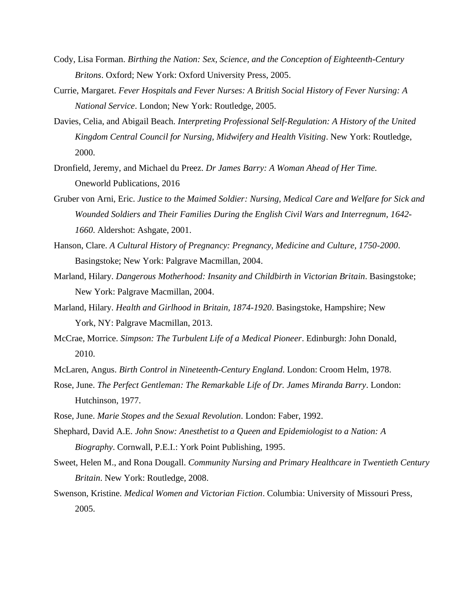- Cody, Lisa Forman. *Birthing the Nation: Sex, Science, and the Conception of Eighteenth-Century Britons*. Oxford; New York: Oxford University Press, 2005.
- Currie, Margaret. *Fever Hospitals and Fever Nurses: A British Social History of Fever Nursing: A National Service*. London; New York: Routledge, 2005.
- Davies, Celia, and Abigail Beach. *Interpreting Professional Self-Regulation: A History of the United Kingdom Central Council for Nursing, Midwifery and Health Visiting*. New York: Routledge, 2000.
- Dronfield, Jeremy, and Michael du Preez. *Dr James Barry: A Woman Ahead of Her Time.*  Oneworld Publications, 2016
- Gruber von Arni, Eric. *Justice to the Maimed Soldier: Nursing, Medical Care and Welfare for Sick and Wounded Soldiers and Their Families During the English Civil Wars and Interregnum, 1642- 1660*. Aldershot: Ashgate, 2001.
- Hanson, Clare. *A Cultural History of Pregnancy: Pregnancy, Medicine and Culture, 1750-2000*. Basingstoke; New York: Palgrave Macmillan, 2004.
- Marland, Hilary. *Dangerous Motherhood: Insanity and Childbirth in Victorian Britain*. Basingstoke; New York: Palgrave Macmillan, 2004.
- Marland, Hilary. *Health and Girlhood in Britain, 1874-1920*. Basingstoke, Hampshire; New York, NY: Palgrave Macmillan, 2013.
- McCrae, Morrice. *Simpson: The Turbulent Life of a Medical Pioneer*. Edinburgh: John Donald, 2010.
- McLaren, Angus. *Birth Control in Nineteenth-Century England*. London: Croom Helm, 1978.
- Rose, June. *The Perfect Gentleman: The Remarkable Life of Dr. James Miranda Barry*. London: Hutchinson, 1977.
- Rose, June. *Marie Stopes and the Sexual Revolution*. London: Faber, 1992.
- Shephard, David A.E. *John Snow: Anesthetist to a Queen and Epidemiologist to a Nation: A Biography*. Cornwall, P.E.I.: York Point Publishing, 1995.
- Sweet, Helen M., and Rona Dougall. *Community Nursing and Primary Healthcare in Twentieth Century Britain*. New York: Routledge, 2008.
- Swenson, Kristine. *Medical Women and Victorian Fiction*. Columbia: University of Missouri Press, 2005.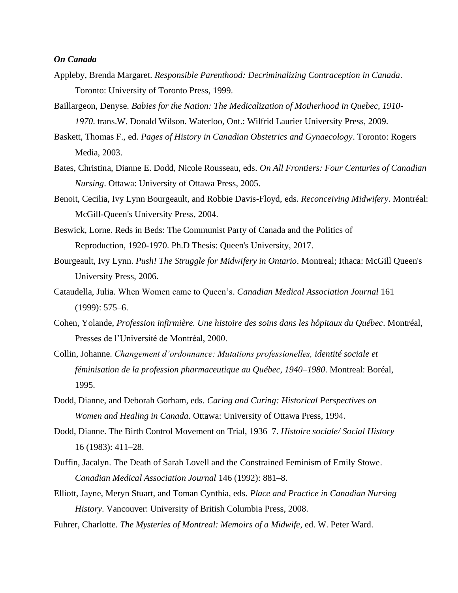#### <span id="page-11-0"></span>*On Canada*

- Appleby, Brenda Margaret. *Responsible Parenthood: Decriminalizing Contraception in Canada*. Toronto: University of Toronto Press, 1999.
- Baillargeon, Denyse. *Babies for the Nation: The Medicalization of Motherhood in Quebec, 1910- 1970*. trans.W. Donald Wilson. Waterloo, Ont.: Wilfrid Laurier University Press, 2009.
- Baskett, Thomas F., ed. *Pages of History in Canadian Obstetrics and Gynaecology*. Toronto: Rogers Media, 2003.
- Bates, Christina, Dianne E. Dodd, Nicole Rousseau, eds. *On All Frontiers: Four Centuries of Canadian Nursing*. Ottawa: University of Ottawa Press, 2005.
- Benoit, Cecilia, Ivy Lynn Bourgeault, and Robbie Davis-Floyd, eds. *Reconceiving Midwifery*. Montréal: McGill-Queen's University Press, 2004.
- Beswick, Lorne. Reds in Beds: The Communist Party of Canada and the Politics of Reproduction, 1920-1970. Ph.D Thesis: Queen's University, 2017.
- Bourgeault, Ivy Lynn. *Push! The Struggle for Midwifery in Ontario*. Montreal; Ithaca: McGill Queen's University Press, 2006.
- Cataudella, Julia. When Women came to Queen's. *Canadian Medical Association Journal* 161 (1999): 575–6.
- Cohen, Yolande, *Profession infirmière. Une histoire des soins dans les hôpitaux du Québec*. Montréal, Presses de l'Université de Montréal, 2000.
- Collin, Johanne. *Changement d'ordonnance: Mutations professionelles, identité sociale et féminisation de la profession pharmaceutique au Québec, 1940–1980*. Montreal: Boréal, 1995.
- Dodd, Dianne, and Deborah Gorham, eds. *Caring and Curing: Historical Perspectives on Women and Healing in Canada*. Ottawa: University of Ottawa Press, 1994.
- Dodd, Dianne. The Birth Control Movement on Trial, 1936–7. *Histoire sociale/ Social History* 16 (1983): 411–28.
- Duffin, Jacalyn. The Death of Sarah Lovell and the Constrained Feminism of Emily Stowe. *Canadian Medical Association Journal* 146 (1992): 881–8.
- Elliott, Jayne, Meryn Stuart, and Toman Cynthia, eds. *Place and Practice in Canadian Nursing History*. Vancouver: University of British Columbia Press, 2008.
- Fuhrer, Charlotte. *The Mysteries of Montreal: Memoirs of a Midwife*, ed. W. Peter Ward.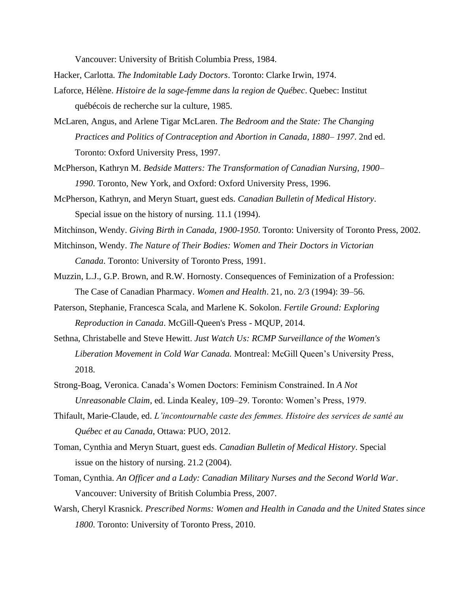Vancouver: University of British Columbia Press, 1984.

Hacker, Carlotta. *The Indomitable Lady Doctors*. Toronto: Clarke Irwin, 1974.

- Laforce, Hélène. *Histoire de la sage-femme dans la region de Québec*. Quebec: Institut québécois de recherche sur la culture, 1985.
- McLaren, Angus, and Arlene Tigar McLaren. *The Bedroom and the State: The Changing Practices and Politics of Contraception and Abortion in Canada, 1880– 1997*. 2nd ed. Toronto: Oxford University Press, 1997.
- McPherson, Kathryn M. *Bedside Matters: The Transformation of Canadian Nursing, 1900– 1990*. Toronto, New York, and Oxford: Oxford University Press, 1996.
- McPherson, Kathryn, and Meryn Stuart, guest eds. *Canadian Bulletin of Medical History*. Special issue on the history of nursing. 11.1 (1994).
- Mitchinson, Wendy. *Giving Birth in Canada, 1900-1950*. Toronto: University of Toronto Press, 2002.
- Mitchinson, Wendy. *The Nature of Their Bodies: Women and Their Doctors in Victorian Canada*. Toronto: University of Toronto Press, 1991.
- Muzzin, L.J., G.P. Brown, and R.W. Hornosty. Consequences of Feminization of a Profession: The Case of Canadian Pharmacy. *Women and Health*. 21, no. 2/3 (1994): 39–56.
- Paterson, Stephanie, Francesca Scala, and Marlene K. Sokolon. *Fertile Ground: Exploring Reproduction in Canada*. McGill-Queen's Press - MQUP, 2014.
- Sethna, Christabelle and Steve Hewitt. *Just Watch Us: RCMP Surveillance of the Women's Liberation Movement in Cold War Canada.* Montreal: McGill Queen's University Press, 2018.
- Strong-Boag, Veronica. Canada's Women Doctors: Feminism Constrained. In *A Not Unreasonable Claim*, ed. Linda Kealey, 109–29. Toronto: Women's Press, 1979.
- Thifault, Marie-Claude, ed. *L'incontournable caste des femmes. Histoire des services de santé au Québec et au Canada*, Ottawa: PUO, 2012.
- Toman, Cynthia and Meryn Stuart, guest eds. *Canadian Bulletin of Medical History*. Special issue on the history of nursing. 21.2 (2004).
- Toman, Cynthia. *An Officer and a Lady: Canadian Military Nurses and the Second World War*. Vancouver: University of British Columbia Press, 2007.
- Warsh, Cheryl Krasnick. *Prescribed Norms: Women and Health in Canada and the United States since 1800*. Toronto: University of Toronto Press, 2010.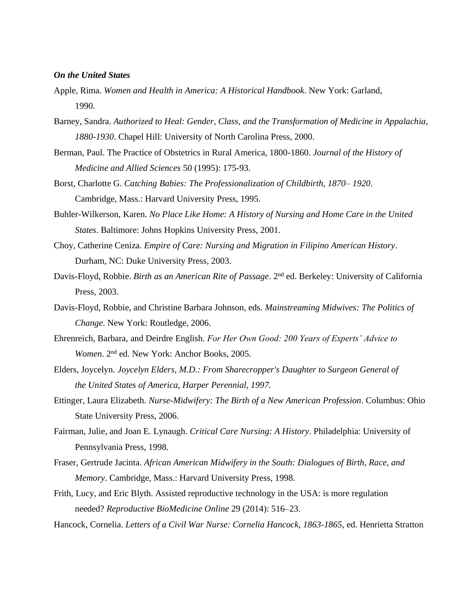### <span id="page-13-0"></span>*On the United States*

- Apple, Rima. *Women and Health in America: A Historical Handbook*. New York: Garland, 1990.
- Barney, Sandra. *Authorized to Heal: Gender, Class, and the Transformation of Medicine in Appalachia, 1880-1930*. Chapel Hill: University of North Carolina Press, 2000.
- Berman, Paul. The Practice of Obstetrics in Rural America, 1800-1860. *Journal of the History of Medicine and Allied Sciences* 50 (1995): 175-93.
- Borst, Charlotte G. *Catching Babies: The Professionalization of Childbirth, 1870– 1920*. Cambridge, Mass.: Harvard University Press, 1995.
- Buhler-Wilkerson, Karen. *No Place Like Home: A History of Nursing and Home Care in the United States*. Baltimore: Johns Hopkins University Press, 2001.
- Choy, Catherine Ceniza. *Empire of Care: Nursing and Migration in Filipino American History*. Durham, NC: Duke University Press, 2003.
- Davis-Floyd, Robbie. *Birth as an American Rite of Passage*. 2nd ed. Berkeley: University of California Press, 2003.
- Davis-Floyd, Robbie, and Christine Barbara Johnson, eds. *Mainstreaming Midwives: The Politics of Change*. New York: Routledge, 2006.
- Ehrenreich, Barbara, and Deirdre English. *For Her Own Good: 200 Years of Experts' Advice to Women*. 2nd ed. New York: Anchor Books, 2005.
- Elders, Joycelyn. *Joycelyn Elders, M.D.: From Sharecropper's Daughter to Surgeon General of the United States of America, Harper Perennial, 1997.*
- Ettinger, Laura Elizabeth. *Nurse-Midwifery: The Birth of a New American Profession*. Columbus: Ohio State University Press, 2006.
- Fairman, Julie, and Joan E. Lynaugh. *Critical Care Nursing: A History*. Philadelphia: University of Pennsylvania Press, 1998.
- Fraser, Gertrude Jacinta. *African American Midwifery in the South: Dialogues of Birth, Race, and Memory*. Cambridge, Mass.: Harvard University Press, 1998.
- Frith, Lucy, and Eric Blyth. Assisted reproductive technology in the USA: is more regulation needed? *Reproductive BioMedicine Online* 29 (2014): 516–23.
- Hancock, Cornelia. *Letters of a Civil War Nurse: Cornelia Hancock, 1863-1865*, ed. Henrietta Stratton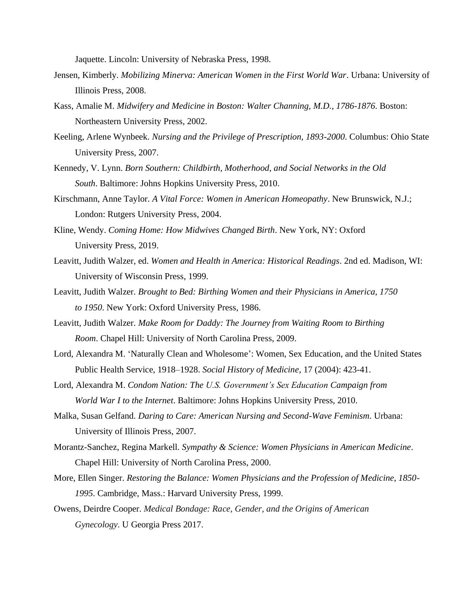Jaquette. Lincoln: University of Nebraska Press, 1998.

- Jensen, Kimberly. *Mobilizing Minerva: American Women in the First World War*. Urbana: University of Illinois Press, 2008.
- Kass, Amalie M. *Midwifery and Medicine in Boston: Walter Channing, M.D., 1786-1876*. Boston: Northeastern University Press, 2002.
- Keeling, Arlene Wynbeek. *Nursing and the Privilege of Prescription, 1893-2000*. Columbus: Ohio State University Press, 2007.
- Kennedy, V. Lynn. *Born Southern: Childbirth, Motherhood, and Social Networks in the Old South*. Baltimore: Johns Hopkins University Press, 2010.
- Kirschmann, Anne Taylor. *A Vital Force: Women in American Homeopathy*. New Brunswick, N.J.; London: Rutgers University Press, 2004.
- Kline, Wendy. *Coming Home: How Midwives Changed Birth*. New York, NY: Oxford University Press, 2019.
- Leavitt, Judith Walzer, ed. *Women and Health in America: Historical Readings*. 2nd ed. Madison, WI: University of Wisconsin Press, 1999.
- Leavitt, Judith Walzer. *Brought to Bed: Birthing Women and their Physicians in America, 1750 to 1950*. New York: Oxford University Press, 1986.
- Leavitt, Judith Walzer. *Make Room for Daddy: The Journey from Waiting Room to Birthing Room*. Chapel Hill: University of North Carolina Press, 2009.
- Lord, Alexandra M. 'Naturally Clean and Wholesome': Women, Sex Education, and the United States Public Health Service, 1918–1928. *Social History of Medicine*, 17 (2004): 423-41.
- Lord, Alexandra M. *Condom Nation: The U.S. Government's Sex Education Campaign from World War I to the Internet*. Baltimore: Johns Hopkins University Press, 2010.
- Malka, Susan Gelfand. *Daring to Care: American Nursing and Second-Wave Feminism*. Urbana: University of Illinois Press, 2007.
- Morantz-Sanchez, Regina Markell. *Sympathy & Science: Women Physicians in American Medicine*. Chapel Hill: University of North Carolina Press, 2000.
- More, Ellen Singer. *Restoring the Balance: Women Physicians and the Profession of Medicine, 1850- 1995*. Cambridge, Mass.: Harvard University Press, 1999.
- Owens, Deirdre Cooper. *Medical Bondage: Race, Gender, and the Origins of American Gynecology*. U Georgia Press 2017.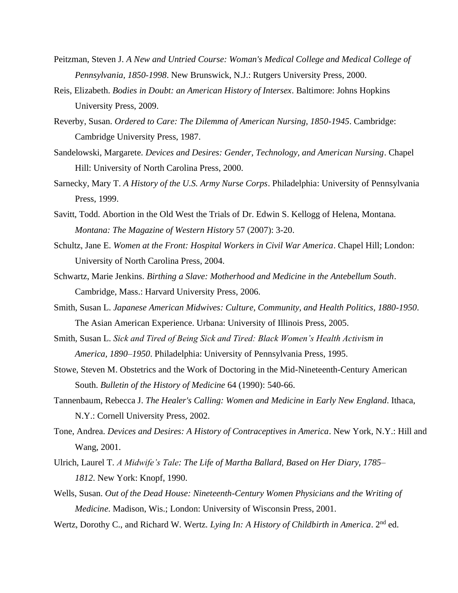- Peitzman, Steven J. *A New and Untried Course: Woman's Medical College and Medical College of Pennsylvania, 1850-1998*. New Brunswick, N.J.: Rutgers University Press, 2000.
- Reis, Elizabeth. *Bodies in Doubt: an American History of Intersex*. Baltimore: Johns Hopkins University Press, 2009.
- Reverby, Susan. *Ordered to Care: The Dilemma of American Nursing, 1850-1945*. Cambridge: Cambridge University Press, 1987.
- Sandelowski, Margarete. *Devices and Desires: Gender, Technology, and American Nursing*. Chapel Hill: University of North Carolina Press, 2000.
- Sarnecky, Mary T. *A History of the U.S. Army Nurse Corps*. Philadelphia: University of Pennsylvania Press, 1999.
- Savitt, Todd. Abortion in the Old West the Trials of Dr. Edwin S. Kellogg of Helena, Montana. *Montana: The Magazine of Western History* 57 (2007): 3-20.
- Schultz, Jane E. *Women at the Front: Hospital Workers in Civil War America*. Chapel Hill; London: University of North Carolina Press, 2004.
- Schwartz, Marie Jenkins. *Birthing a Slave: Motherhood and Medicine in the Antebellum South*. Cambridge, Mass.: Harvard University Press, 2006.
- Smith, Susan L. *Japanese American Midwives: Culture, Community, and Health Politics, 1880-1950*. The Asian American Experience. Urbana: University of Illinois Press, 2005.
- Smith, Susan L. *Sick and Tired of Being Sick and Tired: Black Women's Health Activism in America, 1890–1950*. Philadelphia: University of Pennsylvania Press, 1995.
- Stowe, Steven M. Obstetrics and the Work of Doctoring in the Mid-Nineteenth-Century American South. *Bulletin of the History of Medicine* 64 (1990): 540-66.
- Tannenbaum, Rebecca J. *The Healer's Calling: Women and Medicine in Early New England*. Ithaca, N.Y.: Cornell University Press, 2002.
- Tone, Andrea. *Devices and Desires: A History of Contraceptives in America*. New York, N.Y.: Hill and Wang, 2001.
- Ulrich, Laurel T. *A Midwife's Tale: The Life of Martha Ballard, Based on Her Diary, 1785– 1812*. New York: Knopf, 1990.
- Wells, Susan. *Out of the Dead House: Nineteenth-Century Women Physicians and the Writing of Medicine*. Madison, Wis.; London: University of Wisconsin Press, 2001.
- Wertz, Dorothy C., and Richard W. Wertz. *Lying In: A History of Childbirth in America*. 2<sup>nd</sup> ed.